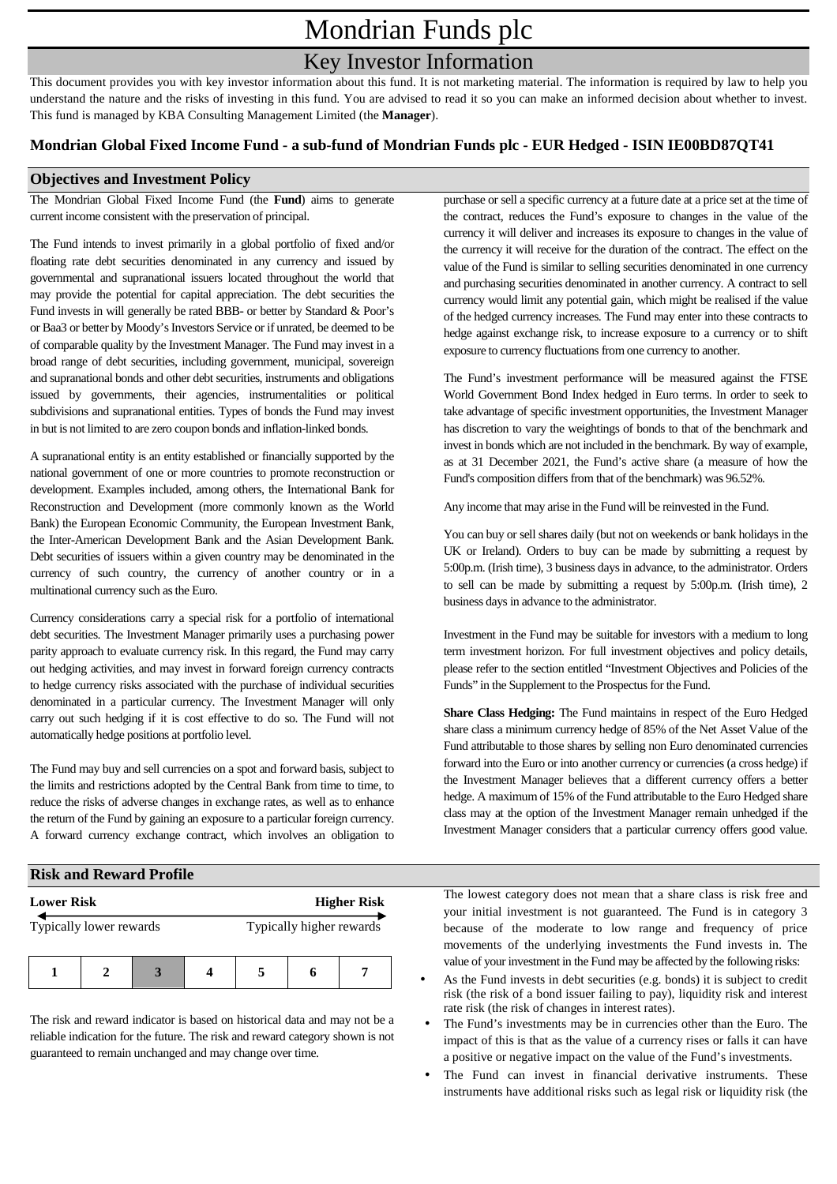# Mondrian Funds plc

## Key Investor Information

This document provides you with key investor information about this fund. It is not marketing material. The information is required by law to help you understand the nature and the risks of investing in this fund. You are advised to read it so you can make an informed decision about whether to invest. This fund is managed by KBA Consulting Management Limited (the **Manager**).

#### **Mondrian Global Fixed Income Fund - a sub-fund of Mondrian Funds plc - EUR Hedged - ISIN IE00BD87QT41**

#### **Objectives and Investment Policy**

The Mondrian Global Fixed Income Fund (the **Fund**) aims to generate current income consistent with the preservation of principal.

The Fund intends to invest primarily in a global portfolio of fixed and/or floating rate debt securities denominated in any currency and issued by governmental and supranational issuers located throughout the world that may provide the potential for capital appreciation. The debt securities the Fund invests in will generally be rated BBB- or better by Standard & Poor's or Baa3 or better by Moody's Investors Service or if unrated, be deemed to be of comparable quality by the Investment Manager. The Fund may invest in a broad range of debt securities, including government, municipal, sovereign and supranational bonds and other debt securities, instruments and obligations issued by governments, their agencies, instrumentalities or political subdivisions and supranational entities. Types of bonds the Fund may invest in but is not limited to are zero coupon bonds and inflation-linked bonds.

A supranational entity is an entity established or financially supported by the national government of one or more countries to promote reconstruction or development. Examples included, among others, the International Bank for Reconstruction and Development (more commonly known as the World Bank) the European Economic Community, the European Investment Bank, the Inter-American Development Bank and the Asian Development Bank. Debt securities of issuers within a given country may be denominated in the currency of such country, the currency of another country or in a multinational currency such as the Euro.

Currency considerations carry a special risk for a portfolio of international debt securities. The Investment Manager primarily uses a purchasing power parity approach to evaluate currency risk. In this regard, the Fund may carry out hedging activities, and may invest in forward foreign currency contracts to hedge currency risks associated with the purchase of individual securities denominated in a particular currency. The Investment Manager will only carry out such hedging if it is cost effective to do so. The Fund will not automatically hedge positions at portfolio level.

The Fund may buy and sell currencies on a spot and forward basis, subject to the limits and restrictions adopted by the Central Bank from time to time, to reduce the risks of adverse changes in exchange rates, as well as to enhance the return of the Fund by gaining an exposure to a particular foreign currency. A forward currency exchange contract, which involves an obligation to purchase or sell a specific currency at a future date at a price set at the time of the contract, reduces the Fund's exposure to changes in the value of the currency it will deliver and increases its exposure to changes in the value of the currency it will receive for the duration of the contract. The effect on the value of the Fund is similar to selling securities denominated in one currency and purchasing securities denominated in another currency. A contract to sell currency would limit any potential gain, which might be realised if the value of the hedged currency increases. The Fund may enter into these contracts to hedge against exchange risk, to increase exposure to a currency or to shift exposure to currency fluctuations from one currency to another.

The Fund's investment performance will be measured against the FTSE World Government Bond Index hedged in Euro terms. In order to seek to take advantage of specific investment opportunities, the Investment Manager has discretion to vary the weightings of bonds to that of the benchmark and invest in bonds which are not included in the benchmark. By way of example, as at 31 December 2021, the Fund's active share (a measure of how the Fund's composition differs from that of the benchmark) was 96.52%.

Any income that may arise in the Fund will be reinvested in the Fund.

You can buy or sell shares daily (but not on weekends or bank holidays in the UK or Ireland). Orders to buy can be made by submitting a request by 5:00p.m. (Irish time), 3 business days in advance, to the administrator. Orders to sell can be made by submitting a request by 5:00p.m. (Irish time), 2 business days in advance to the administrator.

Investment in the Fund may be suitable for investors with a medium to long term investment horizon. For full investment objectives and policy details, please refer to the section entitled "Investment Objectives and Policies of the Funds" in the Supplement to the Prospectus for the Fund.

**Share Class Hedging:** The Fund maintains in respect of the Euro Hedged share class a minimum currency hedge of 85% of the Net Asset Value of the Fund attributable to those shares by selling non Euro denominated currencies forward into the Euro or into another currency or currencies (a cross hedge) if the Investment Manager believes that a different currency offers a better hedge. A maximum of 15% of the Fund attributable to the Euro Hedged share class may at the option of the Investment Manager remain unhedged if the Investment Manager considers that a particular currency offers good value.

### **Risk and Reward Profile**

| <b>Lower Risk</b>       |  |  |                          | <b>Higher Risk</b> |  |  |
|-------------------------|--|--|--------------------------|--------------------|--|--|
| Typically lower rewards |  |  | Typically higher rewards |                    |  |  |
|                         |  |  |                          |                    |  |  |

The risk and reward indicator is based on historical data and may not be a reliable indication for the future. The risk and reward category shown is not guaranteed to remain unchanged and may change over time.

The lowest category does not mean that a share class is risk free and your initial investment is not guaranteed. The Fund is in category 3 because of the moderate to low range and frequency of price movements of the underlying investments the Fund invests in. The value of your investment in the Fund may be affected by the following risks:

- As the Fund invests in debt securities (e.g. bonds) it is subject to credit risk (the risk of a bond issuer failing to pay), liquidity risk and interest rate risk (the risk of changes in interest rates).
- The Fund's investments may be in currencies other than the Euro. The impact of this is that as the value of a currency rises or falls it can have a positive or negative impact on the value of the Fund's investments.
- The Fund can invest in financial derivative instruments. These instruments have additional risks such as legal risk or liquidity risk (the